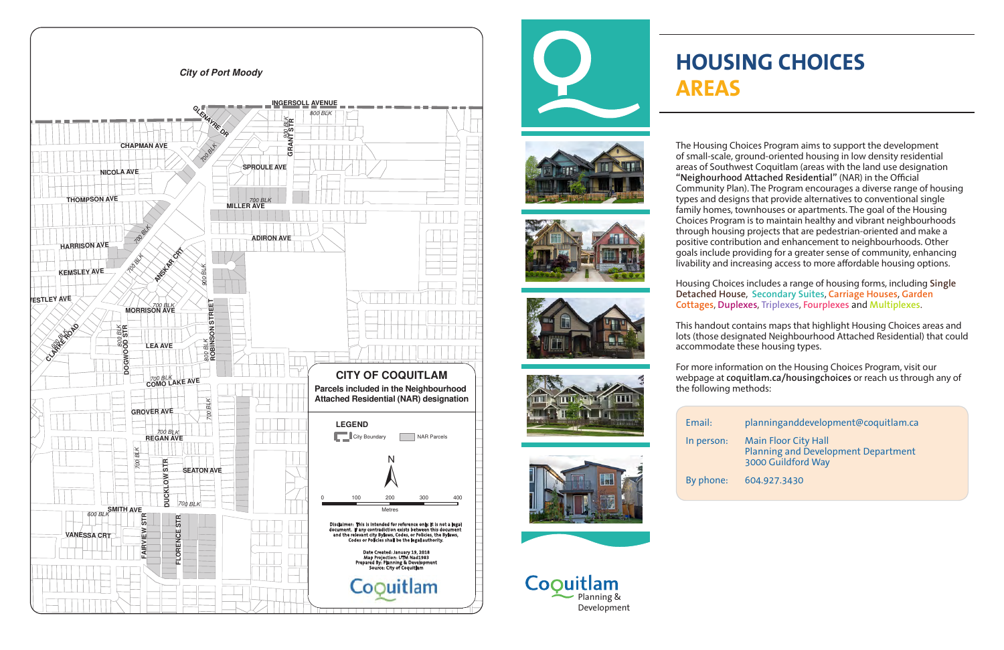Coouitlam Planning & Development





## **HOUSING CHOICES**

## **AREAS**

The Housing Choices Program aims to support the development of small-scale, ground-oriented housing in low density residential areas of Southwest Coquitlam (areas with the land use designation **"Neighourhood Attached Residential"** (NAR) in the Official Community Plan). The Program encourages a diverse range of housing types and designs that provide alternatives to conventional single family homes, townhouses or apartments. The goal of the Housing Choices Program is to maintain healthy and vibrant neighbourhoods through housing projects that are pedestrian-oriented and make a positive contribution and enhancement to neighbourhoods. Other goals include providing for a greater sense of community, enhancing livability and increasing access to more affordable housing options.

Housing Choices includes a range of housing forms, including **Single Detached House**, **Secondary Suites**, **Carriage Houses**, **Garden Cottages**, **Duplexes**, **Triplexes**, **Fourplexes** and **Multiplexes**.

This handout contains maps that highlight Housing Choices areas and lots (those designated Neighbourhood Attached Residential) that could accommodate these housing types.



For more information on the Housing Choices Program, visit our webpage at **coquitlam.ca/housingchoices** or reach us through any of the following methods:









## Email: planninganddevelopment@coquitlam.ca

In person: Main Floor City Hall Planning and Development Department 3000 Guildford Way

By phone: 604.927.3430